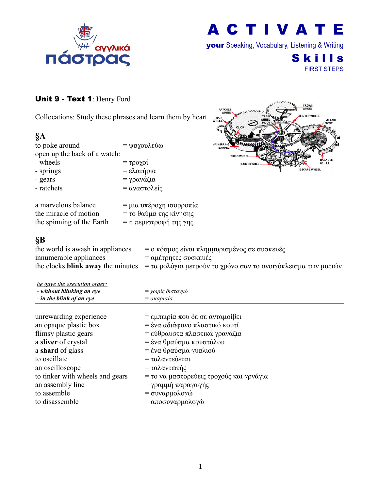

your Speaking, Vocabulary, Listening & Writing

**Skills** FIRST STEPS

### Unit 9 - Text 1: Henry Ford

Collocations: Study these phrases and learn them by heart

| §Α                           |                                          |
|------------------------------|------------------------------------------|
| to poke around               | = ψαχουλεύω                              |
| open up the back of a watch: |                                          |
| - wheels                     | $= \tau \rho o \chi o i$                 |
| - springs                    | $= ελατήρια$                             |
| - gears                      | = γρανάζια                               |
| - ratchets                   | = αναστολείς                             |
| a marvelous balance          | = μια υπέροχη ισορ                       |
| the miracle of motion        | $=$ το θαύμα της κίνη                    |
| the sninning of the Farth    | $=$ n $\pi$ cou $\sigma$ toorn $\tau$ nc |



| a marvelous balance       | = μια υπέροχη ισορροπία  |
|---------------------------|--------------------------|
| the miracle of motion     | $=$ το θαύμα της κίνησης |
| the spinning of the Earth | = η περιστροφή της γης   |

## **§B**

| the world is awash in appliances | = ο κόσμος είναι πλημμυρισμένος σε συσκευές                                                                       |
|----------------------------------|-------------------------------------------------------------------------------------------------------------------|
| innumerable appliances           | = αμέτρητες συσκευές                                                                                              |
|                                  | the clocks <b>blink away</b> the minutes $= \tau \alpha$ ρολόγια μετρούν το χρόνο σαν το ανοιγόκλεισμα των ματιών |

| <i>he gave the execution order:</i><br>$\vert$ - without blinking an eye<br>$\vert$ - in the blink of an eye | = χωρίς δισταγμό<br>$= \alpha \kappa \alpha \rho \iota \alpha \iota \alpha$ |  |
|--------------------------------------------------------------------------------------------------------------|-----------------------------------------------------------------------------|--|
|                                                                                                              |                                                                             |  |

| unrewarding experience          | = εμπειρία που δε σε ανταμοίβει         |
|---------------------------------|-----------------------------------------|
| an opaque plastic box           | = ένα αδιάφανο πλαστικό κουτί           |
| flimsy plastic gears            | = εύθραυστα πλαστικά γρανάζια           |
| a sliver of crystal             | = ένα θραύσμα κρυστάλου                 |
| a shard of glass                | = ένα θραύσμα γυαλιού                   |
| to oscillate                    | = ταλαντεύεται                          |
| an oscilloscope                 | = ταλαντωτής                            |
| to tinker with wheels and gears | = το να μαστορεύεις τροχούς και γρνάγια |
| an assembly line                | = γραμμή παραγωγής                      |
| to assemble                     | = συναρμολογώ                           |
| to disassemble                  | = αποσυναρμολογώ                        |
|                                 |                                         |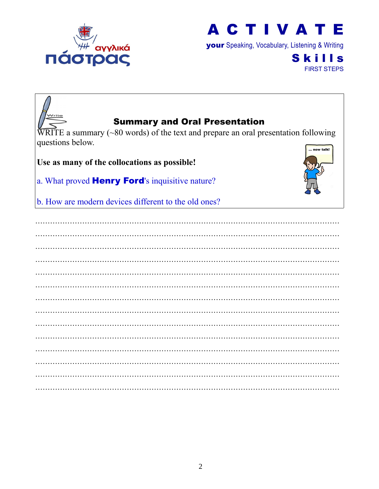

your Speaking, Vocabulary, Listening & Writing

**Skills** FIRST STEPS

| <b>Summary and Oral Presentation</b>                                                                   |           |
|--------------------------------------------------------------------------------------------------------|-----------|
| $\overline{\text{WRITE}}$ a summary (~80 words) of the text and prepare an oral presentation following |           |
| questions below.                                                                                       |           |
|                                                                                                        | now talk! |
| Use as many of the collocations as possible!                                                           |           |
| a. What proved <b>Henry Ford's</b> inquisitive nature?                                                 |           |
| b. How are modern devices different to the old ones?                                                   |           |
|                                                                                                        |           |
|                                                                                                        |           |
|                                                                                                        |           |
|                                                                                                        |           |
|                                                                                                        |           |
|                                                                                                        |           |
|                                                                                                        |           |
|                                                                                                        |           |
|                                                                                                        |           |
|                                                                                                        |           |
|                                                                                                        |           |
|                                                                                                        |           |
|                                                                                                        |           |
|                                                                                                        |           |
|                                                                                                        |           |
|                                                                                                        |           |
|                                                                                                        |           |
|                                                                                                        |           |
|                                                                                                        |           |
|                                                                                                        |           |
|                                                                                                        |           |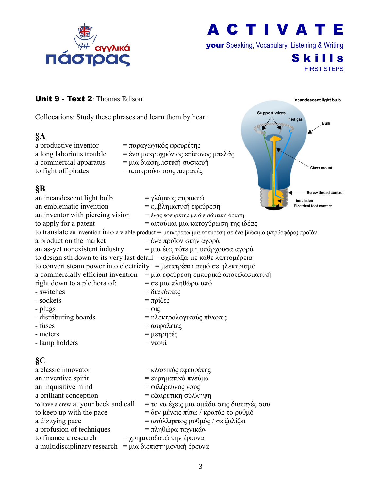

your Speaking, Vocabulary, Listening & Writing

**Support wires** 

Inert gas

**Skills** FIRST STEPS

Incandescent light bulb

Bulb

**Glass mount** 

#### Unit 9 - Text 2: Thomas Edison

Collocations: Study these phrases and learn them by heart

#### **§A**

to fight off pirates  $= \alpha \pi$ οκρούω τους πειρατές

- a productive inventor = παραγωγικός εφευρέτης a long laborious trouble = ένα μακροχρόνιος επίπονος μπελάς a commercial apparatus = μια διαφημιστική συσκευή
	-

### **§B**

| XР                                   | - Screw thread contact                                                                                     |
|--------------------------------------|------------------------------------------------------------------------------------------------------------|
| an incandescent light bulb           | = γλόμπος πυρακτώ<br>Insulation                                                                            |
| an emblematic invention              | = εμβληματική εφεύρεση<br>Electrical foot contact                                                          |
| an inventor with piercing vision     | = ένας εφευρέτης με διεισδυτική όραση                                                                      |
| to apply for a patent                | = αιτούμαι μια κατοχύρωση της ιδέας                                                                        |
|                                      | to translate an invention into a viable product = μετατρέπω μια εφεύρεση σε ένα βιώσιμο (κερδοφόρο) προϊόν |
| a product on the market              | = ένα προϊόν στην αγορά                                                                                    |
| an as-yet nonexistent industry       | = μια έως τότε μη υπάρχουσα αγορά                                                                          |
|                                      | to design sth down to its very last detail = σχεδιάζω με κάθε λεπτομέρεια                                  |
|                                      | to convert steam power into electricity = μετατρέπω ατμό σε ηλεκτρισμό                                     |
|                                      | a commercially efficient invention = μία εφεύρεση εμπορικά αποτελεσματική                                  |
| right down to a plethora of:         | $=$ σε μια πληθώρα από                                                                                     |
| - switches                           | = διακόπτες                                                                                                |
| - sockets                            | $=$ πρίζες                                                                                                 |
| - plugs                              | $=$ $\varphi$ $\iota$ $\varsigma$                                                                          |
| - distributing boards                | = ηλεκτρολογικούς πίνακες                                                                                  |
| - fuses                              | = ασφάλειες                                                                                                |
| - meters                             | = μετρητές                                                                                                 |
| - lamp holders                       | $=$ $\mathbf{v}$ τουί                                                                                      |
| $\S$ C                               |                                                                                                            |
| a classic innovator                  | = κλασικός εφευρέτης                                                                                       |
| an inventive spirit                  | = ευρηματικό πνεύμα                                                                                        |
| an inquisitive mind                  | = φιλέρευνος νους                                                                                          |
| a brilliant conception               | = εξαιρετική σύλληψη                                                                                       |
| to have a crew at your beck and call | = το να έχεις μια ομάδα στις διαταγές σου                                                                  |
| to keep up with the pace             | = δεν μένεις πίσω / κρατάς το ρυθμό                                                                        |
| a dizzying pace                      | = ασύλληπτος ρυθμός / σε ζαλίζει                                                                           |
| a profusion of techniques            | = πληθώρα τεχνικών                                                                                         |

- to finance a research  $= \gamma \rho \eta \mu \alpha \tau$ οδοτώ την έρευνα
- a multidisciplinary research = μια διεπιστημονική έρευνα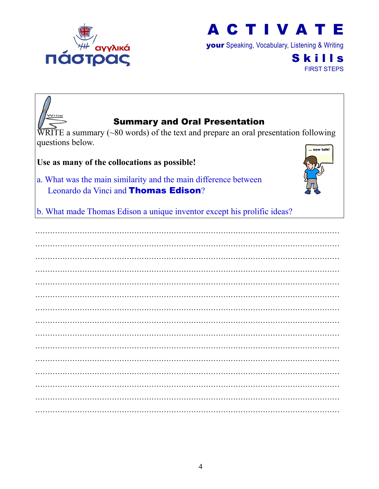

your Speaking, Vocabulary, Listening & Writing

**Skills** FIRST STEPS

| $N$ rite<br><b>Summary and Oral Presentation</b><br>$\overline{W}$ RITE a summary (~80 words) of the text and prepare an oral presentation following<br>questions below.<br>now talk!<br>Use as many of the collocations as possible! |
|---------------------------------------------------------------------------------------------------------------------------------------------------------------------------------------------------------------------------------------|
| a. What was the main similarity and the main difference between<br>Leonardo da Vinci and <b>Thomas Edison</b> ?                                                                                                                       |
| b. What made Thomas Edison a unique inventor except his prolific ideas?                                                                                                                                                               |
|                                                                                                                                                                                                                                       |
|                                                                                                                                                                                                                                       |
|                                                                                                                                                                                                                                       |
|                                                                                                                                                                                                                                       |
|                                                                                                                                                                                                                                       |
|                                                                                                                                                                                                                                       |
|                                                                                                                                                                                                                                       |
|                                                                                                                                                                                                                                       |
|                                                                                                                                                                                                                                       |
|                                                                                                                                                                                                                                       |
|                                                                                                                                                                                                                                       |
|                                                                                                                                                                                                                                       |
|                                                                                                                                                                                                                                       |
|                                                                                                                                                                                                                                       |
|                                                                                                                                                                                                                                       |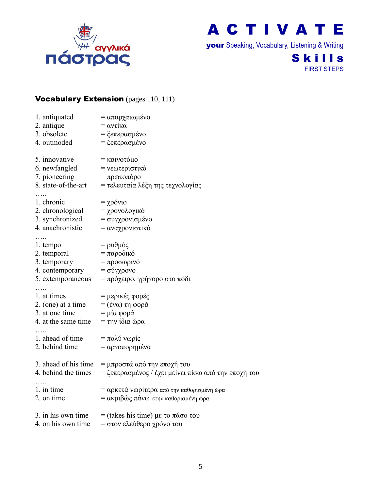

your Speaking, Vocabulary, Listening & Writing

## **Skills** FIRST STEPS

### Vocabulary Extension (pages 110, 111)

| 1. antiquated                                              | = απαρχαιωμένο                                      |
|------------------------------------------------------------|-----------------------------------------------------|
| 2. antique                                                 | $=$ αντίκα                                          |
| 3. obsolete                                                | = ξεπερασμένο                                       |
| 4. outmoded                                                | = ξεπερασμένο                                       |
| 5. innovative                                              | = καινοτόμο                                         |
| 6. newfangled $=$ νεωτεριστικό                             |                                                     |
| 7. pioneering                                              | $= \pi$ ρωτοπόρο                                    |
| 8. state-of-the-art                                        | = τελευταία λέξη της τεχνολογίας                    |
| 1. chronic                                                 | $= \chi \rho \acute{o} \nu \nu$                     |
| 2. chronological                                           | = χρονολογικό                                       |
| 3. synchronized                                            | = συγχρονισμένο                                     |
| 4. anachronistic                                           | = αναχρονιστικό                                     |
| .<br>1. tempo                                              | $=$ ρυθμός                                          |
| 2. temporal                                                | $=$ παροδικό                                        |
| 3. temporary                                               | = προσωρινό                                         |
| 4. contemporary $= \sigma \omega \gamma \chi \rho o \nu o$ |                                                     |
| 5. extemporaneous                                          | = πρόχειρο, γρήγορο στο πόδι                        |
|                                                            |                                                     |
| 1. at times                                                | = μερικές φορές                                     |
| 2. (one) at a time                                         | $=$ (ένα) τη φορά                                   |
| 3. at one time                                             | $= \mu$ ία φορά                                     |
| 4. at the same time                                        | $=$ την ίδια ώρα                                    |
| 1. ahead of time                                           | $=$ πολύ νωρίς                                      |
| 2. behind time                                             | = αργοπορημένα                                      |
|                                                            | 3. ahead of his time = μπροστά από την εποχή του    |
| 4. behind the times                                        | = ξεπερασμένος / έχει μείνει πίσω από την εποχή του |
| 1. in time                                                 | = αρκετά νωρίτερα από την καθορισμένη ώρα           |
| 2. on time                                                 | = ακριβώς πάνω στην καθορισμένη ώρα                 |
| 3. in his own time                                         | = (takes his time) με το πάσο του                   |

4. on his own time  $= \sigma \tau$ ον ελεύθερο χρόνο του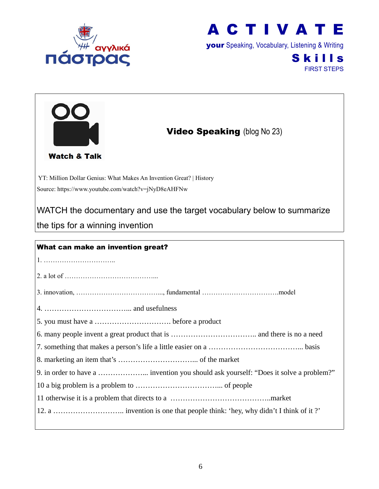



your Speaking, Vocabulary, Listening & Writing

**Skills** FIRST STEPS

| <b>Video Speaking (blog No 23)</b><br><b>Watch &amp; Talk</b>                                              |
|------------------------------------------------------------------------------------------------------------|
| YT: Million Dollar Genius: What Makes An Invention Great?   History                                        |
| Source: https://www.youtube.com/watch?v=jNyD8eAHFNw                                                        |
| WATCH the documentary and use the target vocabulary below to summarize<br>the tips for a winning invention |
|                                                                                                            |
| What can make an invention great?                                                                          |
|                                                                                                            |
|                                                                                                            |
|                                                                                                            |
|                                                                                                            |
|                                                                                                            |
|                                                                                                            |
|                                                                                                            |
|                                                                                                            |
| 9. in order to have a  invention you should ask yourself: "Does it solve a problem?"                       |
|                                                                                                            |
|                                                                                                            |
|                                                                                                            |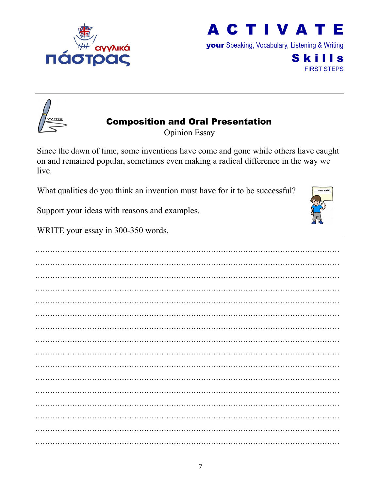



your Speaking, Vocabulary, Listening & Writing

**Skills** FIRST STEPS



## Composition and Oral Presentation

Opinion Essay

Since the dawn of time, some inventions have come and gone while others have caught on and remained popular, sometimes even making a radical difference in the way we live.

What qualities do you think an invention must have for it to be successful?

Support your ideas with reasons and examples.

WRITE your essay in 300-350 words.